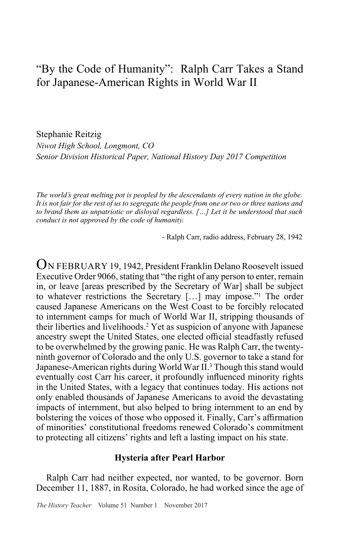# "By the Code of Humanity": Ralph Carr Takes a Stand for Japanese-American Rights in World War II

Stephanie Reitzig *Niwot High School, Longmont, CO Senior Division Historical Paper, National History Day 2017 Competition*

*The world's great melting pot is peopled by the descendants of every nation in the globe. It is not fair for the rest of us to segregate the people from one or two or three nations and to brand them as unpatriotic or disloyal regardless. […] Let it be understood that such conduct is not approved by the code of humanity.*

- Ralph Carr, radio address, February 28, 1942

ON FEBRUARY 19, 1942, President Franklin Delano Roosevelt issued Executive Order 9066, stating that "the right of any person to enter, remain in, or leave [areas prescribed by the Secretary of War] shall be subject to whatever restrictions the Secretary […] may impose."1 The order caused Japanese Americans on the West Coast to be forcibly relocated to internment camps for much of World War II, stripping thousands of their liberties and livelihoods.2 Yet as suspicion of anyone with Japanese ancestry swept the United States, one elected official steadfastly refused to be overwhelmed by the growing panic. He was Ralph Carr, the twentyninth governor of Colorado and the only U.S. governor to take a stand for Japanese-American rights during World War II.<sup>3</sup> Though this stand would eventually cost Carr his career, it profoundly influenced minority rights in the United States, with a legacy that continues today. His actions not only enabled thousands of Japanese Americans to avoid the devastating impacts of internment, but also helped to bring internment to an end by bolstering the voices of those who opposed it. Finally, Carr's affirmation of minorities' constitutional freedoms renewed Colorado's commitment to protecting all citizens' rights and left a lasting impact on his state.

### **Hysteria after Pearl Harbor**

Ralph Carr had neither expected, nor wanted, to be governor. Born December 11, 1887, in Rosita, Colorado, he had worked since the age of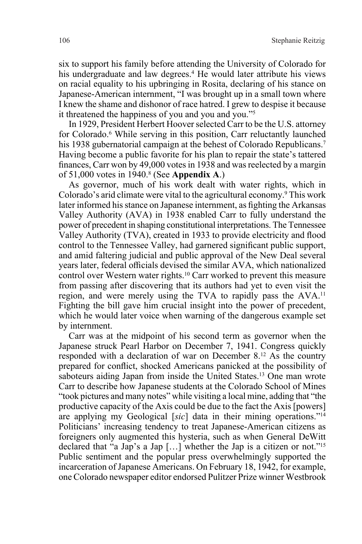six to support his family before attending the University of Colorado for his undergraduate and law degrees.<sup>4</sup> He would later attribute his views on racial equality to his upbringing in Rosita, declaring of his stance on Japanese-American internment, "I was brought up in a small town where I knew the shame and dishonor of race hatred. I grew to despise it because it threatened the happiness of you and you and you."5

In 1929, President Herbert Hoover selected Carr to be the U.S. attorney for Colorado.<sup>6</sup> While serving in this position, Carr reluctantly launched his 1938 gubernatorial campaign at the behest of Colorado Republicans.<sup>7</sup> Having become a public favorite for his plan to repair the state's tattered finances, Carr won by 49,000 votes in 1938 and was reelected by a margin of 51,000 votes in 1940.8 (See **Appendix A**.)

As governor, much of his work dealt with water rights, which in Colorado's arid climate were vital to the agricultural economy.9 This work later informed his stance on Japanese internment, as fighting the Arkansas Valley Authority (AVA) in 1938 enabled Carr to fully understand the power of precedent in shaping constitutional interpretations. The Tennessee Valley Authority (TVA), created in 1933 to provide electricity and flood control to the Tennessee Valley, had garnered significant public support, and amid faltering judicial and public approval of the New Deal several years later, federal officials devised the similar AVA, which nationalized control over Western water rights.10 Carr worked to prevent this measure from passing after discovering that its authors had yet to even visit the region, and were merely using the TVA to rapidly pass the AVA.11 Fighting the bill gave him crucial insight into the power of precedent, which he would later voice when warning of the dangerous example set by internment.

Carr was at the midpoint of his second term as governor when the Japanese struck Pearl Harbor on December 7, 1941. Congress quickly responded with a declaration of war on December 8.12 As the country prepared for conflict, shocked Americans panicked at the possibility of saboteurs aiding Japan from inside the United States.13 One man wrote Carr to describe how Japanese students at the Colorado School of Mines "took pictures and many notes" while visiting a local mine, adding that "the productive capacity of the Axis could be due to the fact the Axis [powers] are applying my Geological [*sic*] data in their mining operations."14 Politicians' increasing tendency to treat Japanese-American citizens as foreigners only augmented this hysteria, such as when General DeWitt declared that "a Jap's a Jap […] whether the Jap is a citizen or not."15 Public sentiment and the popular press overwhelmingly supported the incarceration of Japanese Americans. On February 18, 1942, for example, one Colorado newspaper editor endorsed Pulitzer Prize winner Westbrook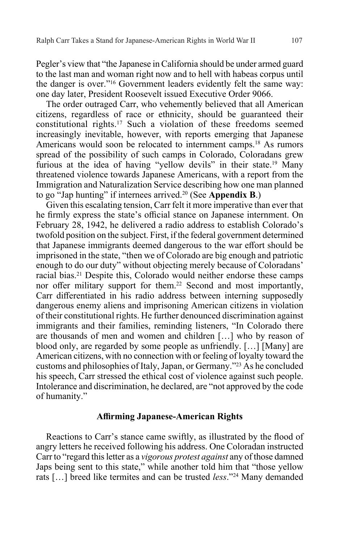Pegler's view that "the Japanese in California should be under armed guard to the last man and woman right now and to hell with habeas corpus until the danger is over."16 Government leaders evidently felt the same way: one day later, President Roosevelt issued Executive Order 9066.

The order outraged Carr, who vehemently believed that all American citizens, regardless of race or ethnicity, should be guaranteed their constitutional rights.17 Such a violation of these freedoms seemed increasingly inevitable, however, with reports emerging that Japanese Americans would soon be relocated to internment camps.18 As rumors spread of the possibility of such camps in Colorado, Coloradans grew furious at the idea of having "yellow devils" in their state.19 Many threatened violence towards Japanese Americans, with a report from the Immigration and Naturalization Service describing how one man planned to go "Jap hunting" if internees arrived.20 (See **Appendix B**.)

Given this escalating tension, Carr felt it more imperative than ever that he firmly express the state's official stance on Japanese internment. On February 28, 1942, he delivered a radio address to establish Colorado's twofold position on the subject. First, if the federal government determined that Japanese immigrants deemed dangerous to the war effort should be imprisoned in the state, "then we of Colorado are big enough and patriotic enough to do our duty" without objecting merely because of Coloradans' racial bias.21 Despite this, Colorado would neither endorse these camps nor offer military support for them.<sup>22</sup> Second and most importantly, Carr differentiated in his radio address between interning supposedly dangerous enemy aliens and imprisoning American citizens in violation of their constitutional rights. He further denounced discrimination against immigrants and their families, reminding listeners, "In Colorado there are thousands of men and women and children […] who by reason of blood only, are regarded by some people as unfriendly. […] [Many] are American citizens, with no connection with or feeling of loyalty toward the customs and philosophies of Italy, Japan, or Germany."23 As he concluded his speech, Carr stressed the ethical cost of violence against such people. Intolerance and discrimination, he declared, are "not approved by the code of humanity."

### **Affirming Japanese-American Rights**

Reactions to Carr's stance came swiftly, as illustrated by the flood of angry letters he received following his address. One Coloradan instructed Carr to "regard this letter as a *vigorous protest against* any of those damned Japs being sent to this state," while another told him that "those yellow rats […] breed like termites and can be trusted *less*."24 Many demanded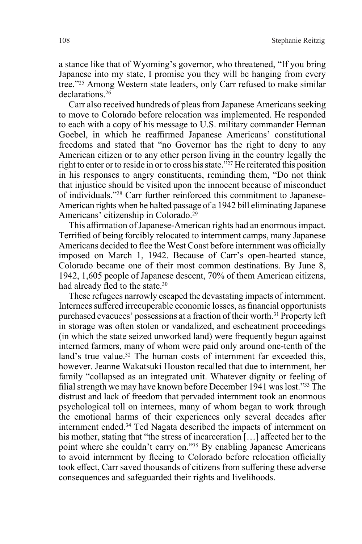a stance like that of Wyoming's governor, who threatened, "If you bring Japanese into my state, I promise you they will be hanging from every tree."25 Among Western state leaders, only Carr refused to make similar declarations.26

Carr also received hundreds of pleas from Japanese Americans seeking to move to Colorado before relocation was implemented. He responded to each with a copy of his message to U.S. military commander Herman Goebel, in which he reaffirmed Japanese Americans' constitutional freedoms and stated that "no Governor has the right to deny to any American citizen or to any other person living in the country legally the right to enter or to reside in or to cross his state."27 He reiterated this position in his responses to angry constituents, reminding them, "Do not think that injustice should be visited upon the innocent because of misconduct of individuals."28 Carr further reinforced this commitment to Japanese-American rights when he halted passage of a 1942 bill eliminating Japanese Americans' citizenship in Colorado.29

This affirmation of Japanese-American rights had an enormous impact. Terrified of being forcibly relocated to internment camps, many Japanese Americans decided to flee the West Coast before internment was officially imposed on March 1, 1942. Because of Carr's open-hearted stance, Colorado became one of their most common destinations. By June 8, 1942, 1,605 people of Japanese descent, 70% of them American citizens, had already fled to the state.<sup>30</sup>

These refugees narrowly escaped the devastating impacts of internment. Internees suffered irrecuperable economic losses, as financial opportunists purchased evacuees' possessions at a fraction of their worth.<sup>31</sup> Property left in storage was often stolen or vandalized, and escheatment proceedings (in which the state seized unworked land) were frequently begun against interned farmers, many of whom were paid only around one-tenth of the land's true value.<sup>32</sup> The human costs of internment far exceeded this, however. Jeanne Wakatsuki Houston recalled that due to internment, her family "collapsed as an integrated unit. Whatever dignity or feeling of filial strength we may have known before December 1941 was lost."33 The distrust and lack of freedom that pervaded internment took an enormous psychological toll on internees, many of whom began to work through the emotional harms of their experiences only several decades after internment ended.34 Ted Nagata described the impacts of internment on his mother, stating that "the stress of incarceration [...] affected her to the point where she couldn't carry on."35 By enabling Japanese Americans to avoid internment by fleeing to Colorado before relocation officially took effect, Carr saved thousands of citizens from suffering these adverse consequences and safeguarded their rights and livelihoods.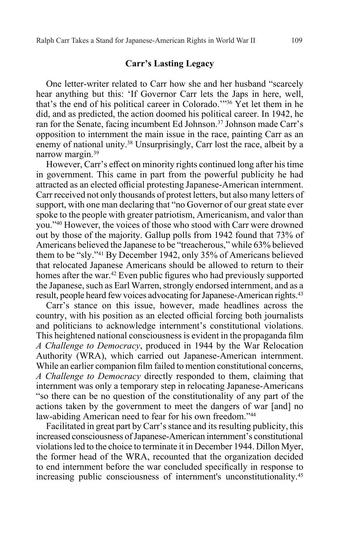### **Carr's Lasting Legacy**

One letter-writer related to Carr how she and her husband "scarcely hear anything but this: 'If Governor Carr lets the Japs in here, well, that's the end of his political career in Colorado.'"36 Yet let them in he did, and as predicted, the action doomed his political career. In 1942, he ran for the Senate, facing incumbent Ed Johnson.<sup>37</sup> Johnson made Carr's opposition to internment the main issue in the race, painting Carr as an enemy of national unity.<sup>38</sup> Unsurprisingly, Carr lost the race, albeit by a narrow margin.<sup>39</sup>

However, Carr's effect on minority rights continued long after his time in government. This came in part from the powerful publicity he had attracted as an elected official protesting Japanese-American internment. Carr received not only thousands of protest letters, but also many letters of support, with one man declaring that "no Governor of our great state ever spoke to the people with greater patriotism, Americanism, and valor than you."40 However, the voices of those who stood with Carr were drowned out by those of the majority. Gallup polls from 1942 found that 73% of Americans believed the Japanese to be "treacherous," while 63% believed them to be "sly."41 By December 1942, only 35% of Americans believed that relocated Japanese Americans should be allowed to return to their homes after the war.<sup>42</sup> Even public figures who had previously supported the Japanese, such as Earl Warren, strongly endorsed internment, and as a result, people heard few voices advocating for Japanese-American rights.<sup>43</sup>

Carr's stance on this issue, however, made headlines across the country, with his position as an elected official forcing both journalists and politicians to acknowledge internment's constitutional violations. This heightened national consciousness is evident in the propaganda film *A Challenge to Democracy*, produced in 1944 by the War Relocation Authority (WRA), which carried out Japanese-American internment. While an earlier companion film failed to mention constitutional concerns, *A Challenge to Democracy* directly responded to them, claiming that internment was only a temporary step in relocating Japanese-Americans "so there can be no question of the constitutionality of any part of the actions taken by the government to meet the dangers of war [and] no law-abiding American need to fear for his own freedom."44

Facilitated in great part by Carr's stance and its resulting publicity, this increased consciousness of Japanese-American internment's constitutional violations led to the choice to terminate it in December 1944. Dillon Myer, the former head of the WRA, recounted that the organization decided to end internment before the war concluded specifically in response to increasing public consciousness of internment's unconstitutionality.45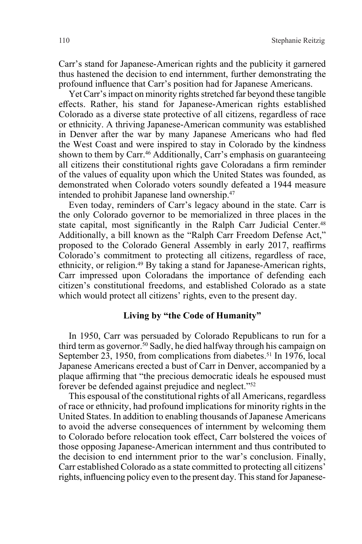Carr's stand for Japanese-American rights and the publicity it garnered thus hastened the decision to end internment, further demonstrating the profound influence that Carr's position had for Japanese Americans.

Yet Carr's impact on minority rights stretched far beyond these tangible effects. Rather, his stand for Japanese-American rights established Colorado as a diverse state protective of all citizens, regardless of race or ethnicity. A thriving Japanese-American community was established in Denver after the war by many Japanese Americans who had fled the West Coast and were inspired to stay in Colorado by the kindness shown to them by Carr.<sup>46</sup> Additionally, Carr's emphasis on guaranteeing all citizens their constitutional rights gave Coloradans a firm reminder of the values of equality upon which the United States was founded, as demonstrated when Colorado voters soundly defeated a 1944 measure intended to prohibit Japanese land ownership.47

Even today, reminders of Carr's legacy abound in the state. Carr is the only Colorado governor to be memorialized in three places in the state capital, most significantly in the Ralph Carr Judicial Center.<sup>48</sup> Additionally, a bill known as the "Ralph Carr Freedom Defense Act," proposed to the Colorado General Assembly in early 2017, reaffirms Colorado's commitment to protecting all citizens, regardless of race, ethnicity, or religion.49 By taking a stand for Japanese-American rights, Carr impressed upon Coloradans the importance of defending each citizen's constitutional freedoms, and established Colorado as a state which would protect all citizens' rights, even to the present day.

## **Living by "the Code of Humanity"**

In 1950, Carr was persuaded by Colorado Republicans to run for a third term as governor.50 Sadly, he died halfway through his campaign on September 23, 1950, from complications from diabetes.<sup>51</sup> In 1976, local Japanese Americans erected a bust of Carr in Denver, accompanied by a plaque affirming that "the precious democratic ideals he espoused must forever be defended against prejudice and neglect."52

This espousal of the constitutional rights of all Americans, regardless of race or ethnicity, had profound implications for minority rights in the United States. In addition to enabling thousands of Japanese Americans to avoid the adverse consequences of internment by welcoming them to Colorado before relocation took effect, Carr bolstered the voices of those opposing Japanese-American internment and thus contributed to the decision to end internment prior to the war's conclusion. Finally, Carr established Colorado as a state committed to protecting all citizens' rights, influencing policy even to the present day. This stand for Japanese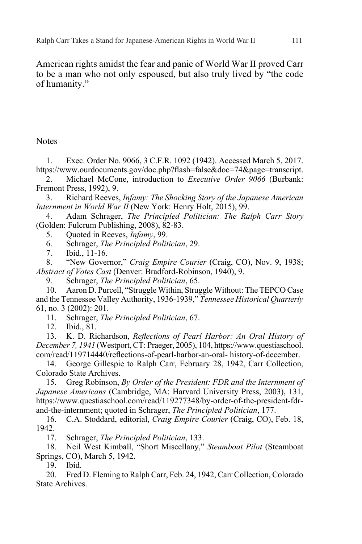American rights amidst the fear and panic of World War II proved Carr to be a man who not only espoused, but also truly lived by "the code of humanity."

### **Notes**

1. Exec. Order No. 9066, 3 C.F.R. 1092 (1942). Accessed March 5, 2017. https://www.ourdocuments.gov/doc.php?flash=false&doc=74&page=transcript.

2. Michael McCone, introduction to *Executive Order 9066* (Burbank: Fremont Press, 1992), 9.

3. Richard Reeves, *Infamy: The Shocking Story of the Japanese American Internment in World War II* (New York: Henry Holt, 2015), 99.

4. Adam Schrager, *The Principled Politician: The Ralph Carr Story*  (Golden: Fulcrum Publishing, 2008), 82-83.

5. Quoted in Reeves, *Infamy*, 99.

6. Schrager, *The Principled Politician*, 29.

7. Ibid., 11-16.

8. "New Governor," *Craig Empire Courier* (Craig, CO), Nov. 9, 1938; *Abstract of Votes Cast* (Denver: Bradford-Robinson, 1940), 9.

9. Schrager, *The Principled Politician*, 65.

10. Aaron D. Purcell, "Struggle Within, Struggle Without: The TEPCO Case and the Tennessee Valley Authority, 1936-1939," *Tennessee Historical Quarterly*  61, no. 3 (2002): 201.

11. Schrager, *The Principled Politician*, 67.

12. Ibid., 81.

13. K. D. Richardson, *Reflections of Pearl Harbor: An Oral History of December 7, 1941* (Westport, CT: Praeger, 2005), 104, https://www.questiaschool. com/read/119714440/reflections-of-pearl-harbor-an-oral- history-of-december.

14. George Gillespie to Ralph Carr, February 28, 1942, Carr Collection, Colorado State Archives.

15. Greg Robinson, *By Order of the President: FDR and the Internment of Japanese Americans* (Cambridge, MA: Harvard University Press, 2003), 131, https://www.questiaschool.com/read/119277348/by-order-of-the-president-fdrand-the-internment; quoted in Schrager, *The Principled Politician*, 177.

16. C.A. Stoddard, editorial, *Craig Empire Courier* (Craig, CO), Feb. 18, 1942.

17. Schrager, *The Principled Politician*, 133.

18. Neil West Kimball, "Short Miscellany," *Steamboat Pilot* (Steamboat Springs, CO), March 5, 1942.

19. Ibid.

20. Fred D. Fleming to Ralph Carr, Feb. 24, 1942, Carr Collection, Colorado State Archives.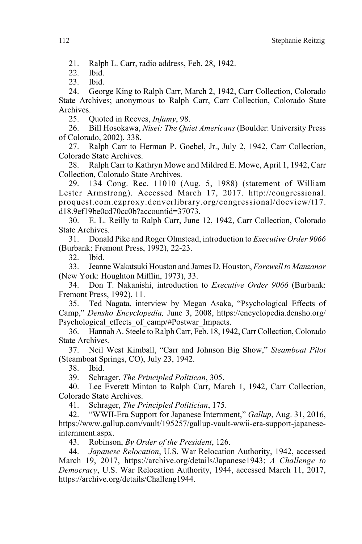21. Ralph L. Carr, radio address, Feb. 28, 1942.

22. Ibid.

23. Ibid.

24. George King to Ralph Carr, March 2, 1942, Carr Collection, Colorado State Archives; anonymous to Ralph Carr, Carr Collection, Colorado State Archives.

25. Quoted in Reeves, *Infamy*, 98.

26. Bill Hosokawa, *Nisei: The Quiet Americans* (Boulder: University Press of Colorado, 2002), 338.

27. Ralph Carr to Herman P. Goebel, Jr., July 2, 1942, Carr Collection, Colorado State Archives.

28. Ralph Carr to Kathryn Mowe and Mildred E. Mowe, April 1, 1942, Carr Collection, Colorado State Archives.

29. 134 Cong. Rec. 11010 (Aug. 5, 1988) (statement of William Lester Armstrong). Accessed March 17, 2017. http://congressional. proquest.com.ezproxy.denverlibrary.org/congressional/docview/t17. d18.9ef19be0cd70cc0b?accountid=37073.

30. E. L. Reilly to Ralph Carr, June 12, 1942, Carr Collection, Colorado State Archives.

31. Donald Pike and Roger Olmstead, introduction to *Executive Order 9066*  (Burbank: Fremont Press, 1992), 22-23.

32. Ibid.

33. Jeanne Wakatsuki Houston and James D. Houston, *Farewell to Manzanar*  (New York: Houghton Mifflin, 1973), 33.

34. Don T. Nakanishi, introduction to *Executive Order 9066* (Burbank: Fremont Press, 1992), 11.

35. Ted Nagata, interview by Megan Asaka, "Psychological Effects of Camp," *Densho Encyclopedia,* June 3, 2008, https://encyclopedia.densho.org/ Psychological effects of camp/#Postwar Impacts.

36. Hannah A. Steele to Ralph Carr, Feb. 18, 1942, Carr Collection, Colorado State Archives.

37. Neil West Kimball, "Carr and Johnson Big Show," *Steamboat Pilot*  (Steamboat Springs, CO), July 23, 1942.

38. Ibid.

39. Schrager, *The Principled Politican*, 305.

40. Lee Everett Minton to Ralph Carr, March 1, 1942, Carr Collection, Colorado State Archives.

41. Schrager, *The Principled Politician*, 175.

42. "WWII-Era Support for Japanese Internment," *Gallup*, Aug. 31, 2016, https://www.gallup.com/vault/195257/gallup-vault-wwii-era-support-japaneseinternment.aspx.

43. Robinson, *By Order of the President*, 126.

44. *Japanese Relocation*, U.S. War Relocation Authority, 1942, accessed March 19, 2017, https://archive.org/details/Japanese1943; *A Challenge to Democracy*, U.S. War Relocation Authority, 1944, accessed March 11, 2017, https://archive.org/details/Challeng1944.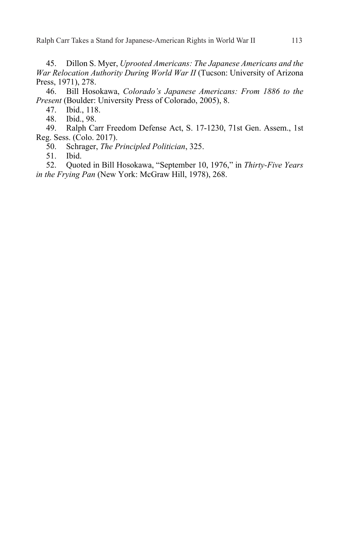45. Dillon S. Myer, *Uprooted Americans: The Japanese Americans and the War Relocation Authority During World War II* (Tucson: University of Arizona Press, 1971), 278.

46. Bill Hosokawa, *Colorado's Japanese Americans: From 1886 to the Present* (Boulder: University Press of Colorado, 2005), 8.

47. Ibid., 118.

Ibid., 98.

49. Ralph Carr Freedom Defense Act, S. 17-1230, 71st Gen. Assem., 1st Reg. Sess. (Colo. 2017).

50. Schrager, *The Principled Politician*, 325.

51. Ibid.

52. Quoted in Bill Hosokawa, "September 10, 1976," in *Thirty-Five Years in the Frying Pan* (New York: McGraw Hill, 1978), 268.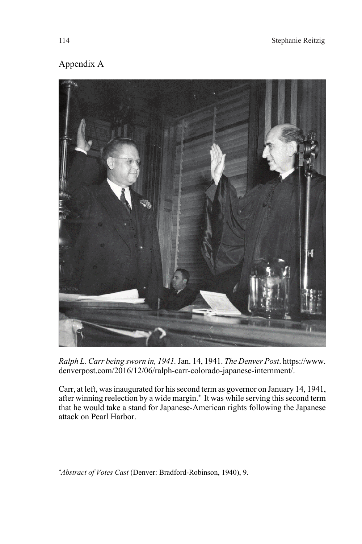# Appendix A



*Ralph L. Carr being sworn in, 1941.* Jan. 14, 1941. *The Denver Post*. https://www. denverpost.com/2016/12/06/ralph-carr-colorado-japanese-internment/.

Carr, at left, was inaugurated for his second term as governor on January 14, 1941, after winning reelection by a wide margin.\* It was while serving this second term that he would take a stand for Japanese-American rights following the Japanese attack on Pearl Harbor.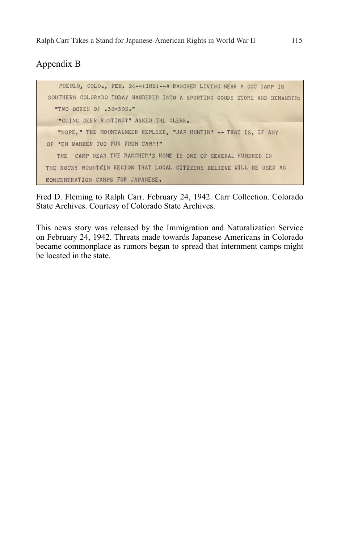# Appendix B

PUEBLO, COLO., FEB. 24 -- (INS) -- A RANCHER LIVING NEAR A CCC CAMP IN SOUTHERN COLORADO TODAY WANDERED INTO A SPORTING GOODS STORE AND DEMANDED: "TWO BOXES OF .30-30S." "GOING DEER HUNTING?" ASKED THE CLERK. "NOPE, " THE MOUNTAINEER REPLIED, "JAP HUNTIN' -- THAT IS, IF ANY OF 'EM WANDER TOO FUR FROM CAMP!" THE CAMP NEAR THE RANCHER'S HOME IS ONE OF SEVERAL HUNDRED IN THE ROCKY MOUNTAIN REGION THAT LOCAL CITIZENS BELIEVE WILL BE USED AS **EONCENTRATION CAMPS FOR JAPANESE.** 

Fred D. Fleming to Ralph Carr. February 24, 1942. Carr Collection. Colorado State Archives. Courtesy of Colorado State Archives.

This news story was released by the Immigration and Naturalization Service on February 24, 1942. Threats made towards Japanese Americans in Colorado became commonplace as rumors began to spread that internment camps might be located in the state.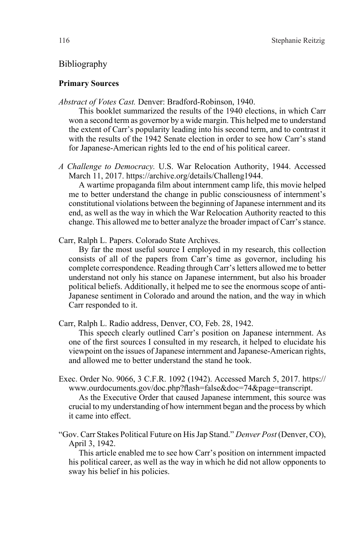### Bibliography

### **Primary Sources**

*Abstract of Votes Cast.* Denver: Bradford-Robinson, 1940.

This booklet summarized the results of the 1940 elections, in which Carr won a second term as governor by a wide margin. This helped me to understand the extent of Carr's popularity leading into his second term, and to contrast it with the results of the 1942 Senate election in order to see how Carr's stand for Japanese-American rights led to the end of his political career.

*A Challenge to Democracy.* U.S. War Relocation Authority, 1944. Accessed March 11, 2017. https://archive.org/details/Challeng1944.

A wartime propaganda film about internment camp life, this movie helped me to better understand the change in public consciousness of internment's constitutional violations between the beginning of Japanese internment and its end, as well as the way in which the War Relocation Authority reacted to this change. This allowed me to better analyze the broader impact of Carr's stance.

Carr, Ralph L. Papers. Colorado State Archives.

By far the most useful source I employed in my research, this collection consists of all of the papers from Carr's time as governor, including his complete correspondence. Reading through Carr's letters allowed me to better understand not only his stance on Japanese internment, but also his broader political beliefs. Additionally, it helped me to see the enormous scope of anti-Japanese sentiment in Colorado and around the nation, and the way in which Carr responded to it.

Carr, Ralph L. Radio address, Denver, CO, Feb. 28, 1942.

This speech clearly outlined Carr's position on Japanese internment. As one of the first sources I consulted in my research, it helped to elucidate his viewpoint on the issues of Japanese internment and Japanese-American rights, and allowed me to better understand the stand he took.

Exec. Order No. 9066, 3 C.F.R. 1092 (1942). Accessed March 5, 2017. https:// www.ourdocuments.gov/doc.php?flash=false&doc=74&page=transcript.

As the Executive Order that caused Japanese internment, this source was crucial to my understanding of how internment began and the process by which it came into effect.

"Gov. Carr Stakes Political Future on His Jap Stand." *Denver Post* (Denver, CO), April 3, 1942.

This article enabled me to see how Carr's position on internment impacted his political career, as well as the way in which he did not allow opponents to sway his belief in his policies.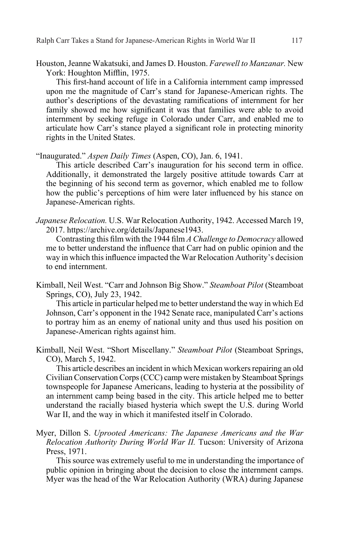Houston, Jeanne Wakatsuki, and James D. Houston. *Farewell to Manzanar.* New York: Houghton Mifflin, 1975.

This first-hand account of life in a California internment camp impressed upon me the magnitude of Carr's stand for Japanese-American rights. The author's descriptions of the devastating ramifications of internment for her family showed me how significant it was that families were able to avoid internment by seeking refuge in Colorado under Carr, and enabled me to articulate how Carr's stance played a significant role in protecting minority rights in the United States.

"Inaugurated." *Aspen Daily Times* (Aspen, CO), Jan. 6, 1941.

This article described Carr's inauguration for his second term in office. Additionally, it demonstrated the largely positive attitude towards Carr at the beginning of his second term as governor, which enabled me to follow how the public's perceptions of him were later influenced by his stance on Japanese-American rights.

*Japanese Relocation.* U.S. War Relocation Authority, 1942. Accessed March 19, 2017. https://archive.org/details/Japanese1943.

Contrasting this film with the 1944 film *A Challenge to Democracy* allowed me to better understand the influence that Carr had on public opinion and the way in which this influence impacted the War Relocation Authority's decision to end internment.

Kimball, Neil West. "Carr and Johnson Big Show." *Steamboat Pilot* (Steamboat Springs, CO), July 23, 1942.

This article in particular helped me to better understand the way in which Ed Johnson, Carr's opponent in the 1942 Senate race, manipulated Carr's actions to portray him as an enemy of national unity and thus used his position on Japanese-American rights against him.

Kimball, Neil West. "Short Miscellany." *Steamboat Pilot* (Steamboat Springs, CO), March 5, 1942.

This article describes an incident in which Mexican workers repairing an old Civilian Conservation Corps (CCC) camp were mistaken by Steamboat Springs townspeople for Japanese Americans, leading to hysteria at the possibility of an internment camp being based in the city. This article helped me to better understand the racially biased hysteria which swept the U.S. during World War II, and the way in which it manifested itself in Colorado.

Myer, Dillon S. *Uprooted Americans: The Japanese Americans and the War Relocation Authority During World War II.* Tucson: University of Arizona Press, 1971.

This source was extremely useful to me in understanding the importance of public opinion in bringing about the decision to close the internment camps. Myer was the head of the War Relocation Authority (WRA) during Japanese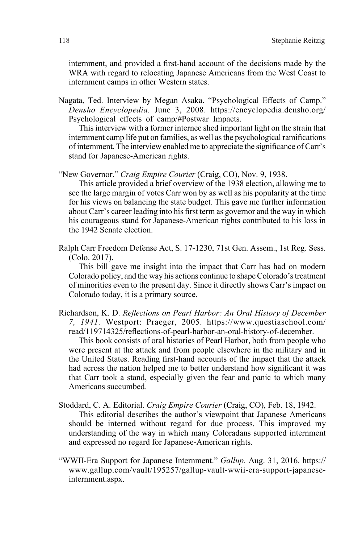internment, and provided a first-hand account of the decisions made by the WRA with regard to relocating Japanese Americans from the West Coast to internment camps in other Western states.

Nagata, Ted. Interview by Megan Asaka. "Psychological Effects of Camp." *Densho Encyclopedia.* June 3, 2008. https://encyclopedia.densho.org/ Psychological effects of camp/#Postwar Impacts.

This interview with a former internee shed important light on the strain that internment camp life put on families, as well as the psychological ramifications of internment. The interview enabled me to appreciate the significance of Carr's stand for Japanese-American rights.

"New Governor." *Craig Empire Courier* (Craig, CO), Nov. 9, 1938.

This article provided a brief overview of the 1938 election, allowing me to see the large margin of votes Carr won by as well as his popularity at the time for his views on balancing the state budget. This gave me further information about Carr's career leading into his first term as governor and the way in which his courageous stand for Japanese-American rights contributed to his loss in the 1942 Senate election.

Ralph Carr Freedom Defense Act, S. 17-1230, 71st Gen. Assem., 1st Reg. Sess. (Colo. 2017).

This bill gave me insight into the impact that Carr has had on modern Colorado policy, and the way his actions continue to shape Colorado's treatment of minorities even to the present day. Since it directly shows Carr's impact on Colorado today, it is a primary source.

Richardson, K. D. *Reflections on Pearl Harbor: An Oral History of December 7, 1941.* Westport: Praeger, 2005. https://www.questiaschool.com/ read/119714325/reflections-of-pearl-harbor-an-oral-history-of-december.

This book consists of oral histories of Pearl Harbor, both from people who were present at the attack and from people elsewhere in the military and in the United States. Reading first-hand accounts of the impact that the attack had across the nation helped me to better understand how significant it was that Carr took a stand, especially given the fear and panic to which many Americans succumbed.

Stoddard, C. A. Editorial. *Craig Empire Courier* (Craig, CO), Feb. 18, 1942.

This editorial describes the author's viewpoint that Japanese Americans should be interned without regard for due process. This improved my understanding of the way in which many Coloradans supported internment and expressed no regard for Japanese-American rights.

"WWII-Era Support for Japanese Internment." *Gallup.* Aug. 31, 2016. https:// www.gallup.com/vault/195257/gallup-vault-wwii-era-support-japaneseinternment.aspx.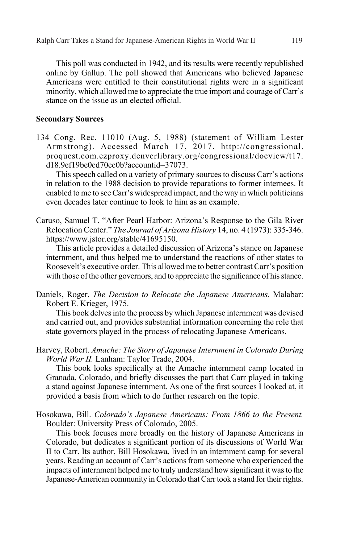This poll was conducted in 1942, and its results were recently republished online by Gallup. The poll showed that Americans who believed Japanese Americans were entitled to their constitutional rights were in a significant minority, which allowed me to appreciate the true import and courage of Carr's stance on the issue as an elected official.

#### **Secondary Sources**

134 Cong. Rec. 11010 (Aug. 5, 1988) (statement of William Lester Armstrong). Accessed March 17, 2017. http://congressional. proquest.com.ezproxy.denverlibrary.org/congressional/docview/t17. d18.9ef19be0cd70cc0b?accountid=37073.

This speech called on a variety of primary sources to discuss Carr's actions in relation to the 1988 decision to provide reparations to former internees. It enabled to me to see Carr's widespread impact, and the way in which politicians even decades later continue to look to him as an example.

Caruso, Samuel T. "After Pearl Harbor: Arizona's Response to the Gila River Relocation Center." *The Journal of Arizona History* 14, no. 4 (1973): 335-346. https://www.jstor.org/stable/41695150.

This article provides a detailed discussion of Arizona's stance on Japanese internment, and thus helped me to understand the reactions of other states to Roosevelt's executive order. This allowed me to better contrast Carr's position with those of the other governors, and to appreciate the significance of his stance.

Daniels, Roger. *The Decision to Relocate the Japanese Americans.* Malabar: Robert E. Krieger, 1975.

This book delves into the process by which Japanese internment was devised and carried out, and provides substantial information concerning the role that state governors played in the process of relocating Japanese Americans.

Harvey, Robert. *Amache: The Story of Japanese Internment in Colorado During World War II.* Lanham: Taylor Trade, 2004.

This book looks specifically at the Amache internment camp located in Granada, Colorado, and briefly discusses the part that Carr played in taking a stand against Japanese internment. As one of the first sources I looked at, it provided a basis from which to do further research on the topic.

Hosokawa, Bill. *Colorado's Japanese Americans: From 1866 to the Present.*  Boulder: University Press of Colorado, 2005.

This book focuses more broadly on the history of Japanese Americans in Colorado, but dedicates a significant portion of its discussions of World War II to Carr. Its author, Bill Hosokawa, lived in an internment camp for several years. Reading an account of Carr's actions from someone who experienced the impacts of internment helped me to truly understand how significant it was to the Japanese-American community in Colorado that Carr took a stand for their rights.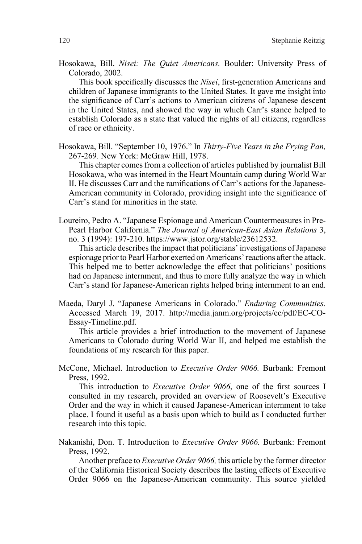Hosokawa, Bill. *Nisei: The Quiet Americans.* Boulder: University Press of Colorado, 2002.

This book specifically discusses the *Nisei*, first-generation Americans and children of Japanese immigrants to the United States. It gave me insight into the significance of Carr's actions to American citizens of Japanese descent in the United States, and showed the way in which Carr's stance helped to establish Colorado as a state that valued the rights of all citizens, regardless of race or ethnicity.

Hosokawa, Bill. "September 10, 1976." In *Thirty-Five Years in the Frying Pan,*  267-269*.* New York: McGraw Hill, 1978.

This chapter comes from a collection of articles published by journalist Bill Hosokawa, who was interned in the Heart Mountain camp during World War II. He discusses Carr and the ramifications of Carr's actions for the Japanese-American community in Colorado, providing insight into the significance of Carr's stand for minorities in the state.

Loureiro, Pedro A. "Japanese Espionage and American Countermeasures in Pre-Pearl Harbor California." *The Journal of American-East Asian Relations* 3, no. 3 (1994): 197-210. https://www.jstor.org/stable/23612532.

This article describes the impact that politicians' investigations of Japanese espionage prior to Pearl Harbor exerted on Americans' reactions after the attack. This helped me to better acknowledge the effect that politicians' positions had on Japanese internment, and thus to more fully analyze the way in which Carr's stand for Japanese-American rights helped bring internment to an end.

Maeda, Daryl J. "Japanese Americans in Colorado." *Enduring Communities.*  Accessed March 19, 2017. http://media.janm.org/projects/ec/pdf/EC-CO-Essay-Timeline.pdf.

This article provides a brief introduction to the movement of Japanese Americans to Colorado during World War II, and helped me establish the foundations of my research for this paper.

McCone, Michael. Introduction to *Executive Order 9066.* Burbank: Fremont Press, 1992.

This introduction to *Executive Order 9066*, one of the first sources I consulted in my research, provided an overview of Roosevelt's Executive Order and the way in which it caused Japanese-American internment to take place. I found it useful as a basis upon which to build as I conducted further research into this topic.

Nakanishi, Don. T. Introduction to *Executive Order 9066.* Burbank: Fremont Press, 1992.

Another preface to *Executive Order 9066,* this article by the former director of the California Historical Society describes the lasting effects of Executive Order 9066 on the Japanese-American community. This source yielded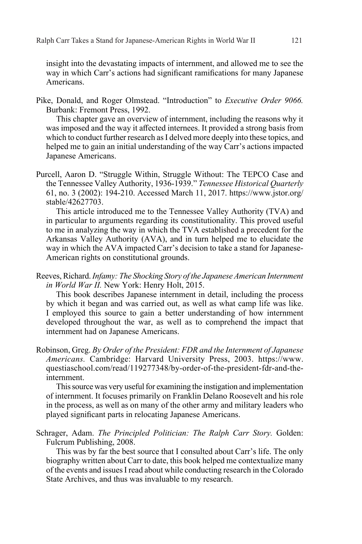insight into the devastating impacts of internment, and allowed me to see the way in which Carr's actions had significant ramifications for many Japanese Americans.

Pike, Donald, and Roger Olmstead. "Introduction" to *Executive Order 9066.*  Burbank: Fremont Press, 1992.

This chapter gave an overview of internment, including the reasons why it was imposed and the way it affected internees. It provided a strong basis from which to conduct further research as I delved more deeply into these topics, and helped me to gain an initial understanding of the way Carr's actions impacted Japanese Americans.

Purcell, Aaron D. "Struggle Within, Struggle Without: The TEPCO Case and the Tennessee Valley Authority, 1936-1939." *Tennessee Historical Quarterly*  61, no. 3 (2002): 194-210. Accessed March 11, 2017. https://www.jstor.org/ stable/42627703.

This article introduced me to the Tennessee Valley Authority (TVA) and in particular to arguments regarding its constitutionality. This proved useful to me in analyzing the way in which the TVA established a precedent for the Arkansas Valley Authority (AVA), and in turn helped me to elucidate the way in which the AVA impacted Carr's decision to take a stand for Japanese-American rights on constitutional grounds.

Reeves, Richard. *Infamy: The Shocking Story of the Japanese American Internment in World War II.* New York: Henry Holt, 2015.

This book describes Japanese internment in detail, including the process by which it began and was carried out, as well as what camp life was like. I employed this source to gain a better understanding of how internment developed throughout the war, as well as to comprehend the impact that internment had on Japanese Americans.

Robinson, Greg. *By Order of the President: FDR and the Internment of Japanese Americans.* Cambridge: Harvard University Press, 2003. https://www. questiaschool.com/read/119277348/by-order-of-the-president-fdr-and-theinternment.

This source was very useful for examining the instigation and implementation of internment. It focuses primarily on Franklin Delano Roosevelt and his role in the process, as well as on many of the other army and military leaders who played significant parts in relocating Japanese Americans.

Schrager, Adam. *The Principled Politician: The Ralph Carr Story.* Golden: Fulcrum Publishing, 2008.

This was by far the best source that I consulted about Carr's life. The only biography written about Carr to date, this book helped me contextualize many of the events and issues I read about while conducting research in the Colorado State Archives, and thus was invaluable to my research.